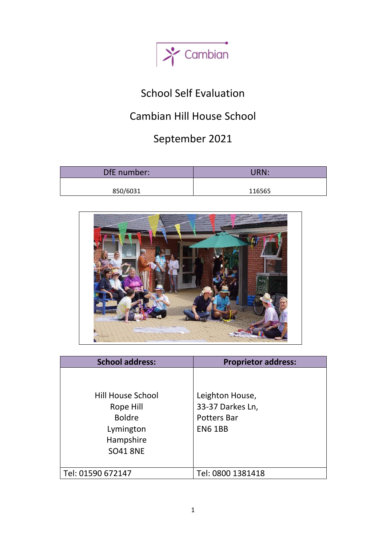

# School Self Evaluation

# Cambian Hill House School

# September 2021

| DfE number: | URN:   |
|-------------|--------|
| 850/6031    | 116565 |



| <b>School address:</b>   | <b>Proprietor address:</b> |
|--------------------------|----------------------------|
|                          |                            |
|                          |                            |
| <b>Hill House School</b> | Leighton House,            |
| Rope Hill                | 33-37 Darkes Ln,           |
| <b>Boldre</b>            | <b>Potters Bar</b>         |
| Lymington                | <b>EN6 1BB</b>             |
| Hampshire                |                            |
| <b>SO41 8NE</b>          |                            |
|                          |                            |
| Tel: 01590 672147        | Tel: 0800 1381418          |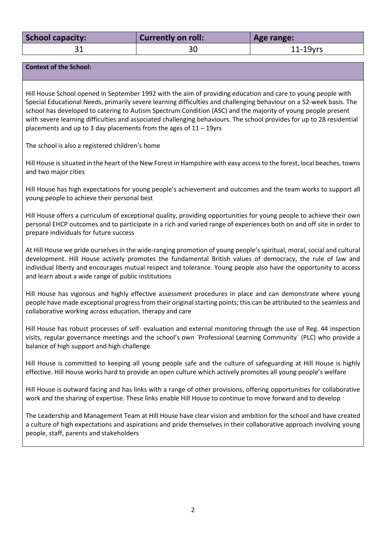| School capacity: | <b>Currently on roll:</b> | Age range:  |
|------------------|---------------------------|-------------|
|                  | 30                        | $11-19$ yrs |

**Context of the School:**

Hill House School opened in September 1992 with the aim of providing education and care to young people with Special Educational Needs, primarily severe learning difficulties and challenging behaviour on a 52-week basis. The school has developed to catering to Autism Spectrum Condition (ASC) and the majority of young people present with severe learning difficulties and associated challenging behaviours. The school provides for up to 28 residential placements and up to 3 day placements from the ages of 11 – 19yrs

The school is also a registered children's home

Hill House is situated in the heart of the New Forest in Hampshire with easy access to the forest, local beaches, towns and two major cities

Hill House has high expectations for young people's achievement and outcomes and the team works to support all young people to achieve their personal best

Hill House offers a curriculum of exceptional quality, providing opportunities for young people to achieve their own personal EHCP outcomes and to participate in a rich and varied range of experiences both on and off site in order to prepare individuals for future success

At Hill House we pride ourselves in the wide-ranging promotion of young people'sspiritual, moral, social and cultural development. Hill House actively promotes the fundamental British values of democracy, the rule of law and individual liberty and encourages mutual respect and tolerance. Young people also have the opportunity to access and learn about a wide range of public institutions

Hill House has vigorous and highly effective assessment procedures in place and can demonstrate where young people have made exceptional progress from their original starting points; this can be attributed to the seamless and collaborative working across education, therapy and care

Hill House has robust processes of self- evaluation and external monitoring through the use of Reg. 44 inspection visits, regular governance meetings and the school's own `Professional Learning Community` (PLC) who provide a balance of high support and high challenge

Hill House is committed to keeping all young people safe and the culture of safeguarding at Hill House is highly effective. Hill House works hard to provide an open culture which actively promotes all young people's welfare

Hill House is outward facing and has links with a range of other provisions, offering opportunities for collaborative work and the sharing of expertise. These links enable Hill House to continue to move forward and to develop

The Leadership and Management Team at Hill House have clear vision and ambition for the school and have created a culture of high expectations and aspirations and pride themselves in their collaborative approach involving young people, staff, parents and stakeholders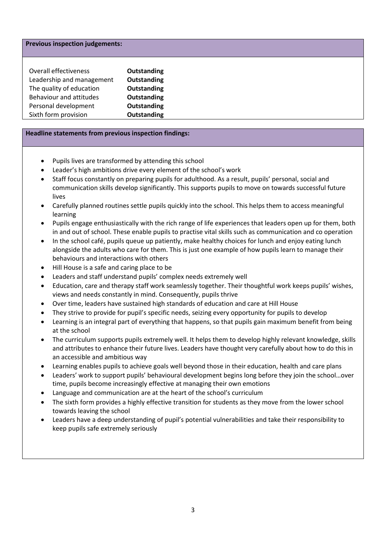### **Previous inspection judgements:**

| Overall effectiveness     | <b>Outstanding</b> |
|---------------------------|--------------------|
| Leadership and management | Outstanding        |
| The quality of education  | Outstanding        |
| Behaviour and attitudes   | Outstanding        |
| Personal development      | Outstanding        |
| Sixth form provision      | <b>Outstanding</b> |

#### **Headline statements from previous inspection findings:**

- Pupils lives are transformed by attending this school
- Leader's high ambitions drive every element of the school's work
- Staff focus constantly on preparing pupils for adulthood. As a result, pupils' personal, social and communication skills develop significantly. This supports pupils to move on towards successful future lives
- Carefully planned routines settle pupils quickly into the school. This helps them to access meaningful learning
- Pupils engage enthusiastically with the rich range of life experiences that leaders open up for them, both in and out of school. These enable pupils to practise vital skills such as communication and co operation
- In the school café, pupils queue up patiently, make healthy choices for lunch and enjoy eating lunch alongside the adults who care for them. This is just one example of how pupils learn to manage their behaviours and interactions with others
- Hill House is a safe and caring place to be
- Leaders and staff understand pupils' complex needs extremely well
- Education, care and therapy staff work seamlessly together. Their thoughtful work keeps pupils' wishes, views and needs constantly in mind. Consequently, pupils thrive
- Over time, leaders have sustained high standards of education and care at Hill House
- They strive to provide for pupil's specific needs, seizing every opportunity for pupils to develop
- Learning is an integral part of everything that happens, so that pupils gain maximum benefit from being at the school
- The curriculum supports pupils extremely well. It helps them to develop highly relevant knowledge, skills and attributes to enhance their future lives. Leaders have thought very carefully about how to do this in an accessible and ambitious way
- Learning enables pupils to achieve goals well beyond those in their education, health and care plans
- Leaders' work to support pupils' behavioural development begins long before they join the school…over time, pupils become increasingly effective at managing their own emotions
- Language and communication are at the heart of the school's curriculum
- The sixth form provides a highly effective transition for students as they move from the lower school towards leaving the school
- Leaders have a deep understanding of pupil's potential vulnerabilities and take their responsibility to keep pupils safe extremely seriously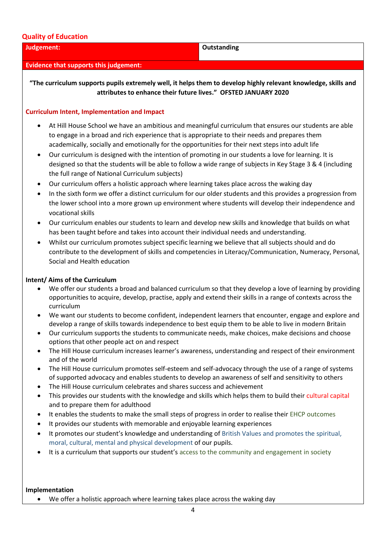### **Quality of Education**

#### **Judgement: Outstanding**

**"The curriculum supports pupils extremely well, it helps them to develop highly relevant knowledge, skills and** 

#### **Curriculum Intent, Implementation and Impact**

**Evidence that supports this judgement:**

• At Hill House School we have an ambitious and meaningful curriculum that ensures our students are able to engage in a broad and rich experience that is appropriate to their needs and prepares them academically, socially and emotionally for the opportunities for their next steps into adult life

**attributes to enhance their future lives." OFSTED JANUARY 2020**

- Our curriculum is designed with the intention of promoting in our students a love for learning. It is designed so that the students will be able to follow a wide range of subjects in Key Stage 3 & 4 (including the full range of National Curriculum subjects)
- Our curriculum offers a holistic approach where learning takes place across the waking day
- In the sixth form we offer a distinct curriculum for our older students and this provides a progression from the lower school into a more grown up environment where students will develop their independence and vocational skills
- Our curriculum enables our students to learn and develop new skills and knowledge that builds on what has been taught before and takes into account their individual needs and understanding.
- Whilst our curriculum promotes subject specific learning we believe that all subjects should and do contribute to the development of skills and competencies in Literacy/Communication, Numeracy, Personal, Social and Health education

#### **Intent/ Aims of the Curriculum**

- We offer our students a broad and balanced curriculum so that they develop a love of learning by providing opportunities to acquire, develop, practise, apply and extend their skills in a range of contexts across the curriculum
- We want our students to become confident, independent learners that encounter, engage and explore and develop a range of skills towards independence to best equip them to be able to live in modern Britain
- Our curriculum supports the students to communicate needs, make choices, make decisions and choose options that other people act on and respect
- The Hill House curriculum increases learner's awareness, understanding and respect of their environment and of the world
- The Hill House curriculum promotes self-esteem and self-advocacy through the use of a range of systems of supported advocacy and enables students to develop an awareness of self and sensitivity to others
- The Hill House curriculum celebrates and shares success and achievement
- This provides our students with the knowledge and skills which helps them to build their cultural capital and to prepare them for adulthood
- It enables the students to make the small steps of progress in order to realise their EHCP outcomes
- It provides our students with memorable and enjoyable learning experiences
- It promotes our student's knowledge and understanding of British Values and promotes the spiritual, moral, cultural, mental and physical development of our pupils.
- It is a curriculum that supports our student's access to the community and engagement in society

#### **Implementation**

• We offer a holistic approach where learning takes place across the waking day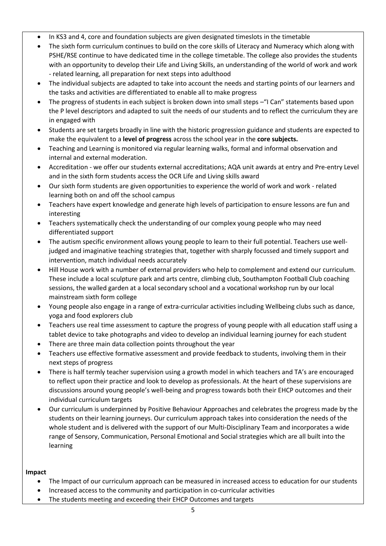- In KS3 and 4, core and foundation subjects are given designated timeslots in the timetable
- The sixth form curriculum continues to build on the core skills of Literacy and Numeracy which along with PSHE/RSE continue to have dedicated time in the college timetable. The college also provides the students with an opportunity to develop their Life and Living Skills, an understanding of the world of work and work - related learning, all preparation for next steps into adulthood
- The individual subjects are adapted to take into account the needs and starting points of our learners and the tasks and activities are differentiated to enable all to make progress
- The progress of students in each subject is broken down into small steps "I Can" statements based upon the P level descriptors and adapted to suit the needs of our students and to reflect the curriculum they are in engaged with
- Students are set targets broadly in line with the historic progression guidance and students are expected to make the equivalent to a **level of progress** across the school year in the **core subjects.**
- Teaching and Learning is monitored via regular learning walks, formal and informal observation and internal and external moderation.
- Accreditation we offer our students external accreditations; AQA unit awards at entry and Pre-entry Level and in the sixth form students access the OCR Life and Living skills award
- Our sixth form students are given opportunities to experience the world of work and work related learning both on and off the school campus
- Teachers have expert knowledge and generate high levels of participation to ensure lessons are fun and interesting
- Teachers systematically check the understanding of our complex young people who may need differentiated support
- The autism specific environment allows young people to learn to their full potential. Teachers use welljudged and imaginative teaching strategies that, together with sharply focussed and timely support and intervention, match individual needs accurately
- Hill House work with a number of external providers who help to complement and extend our curriculum. These include a local sculpture park and arts centre, climbing club, Southampton Football Club coaching sessions, the walled garden at a local secondary school and a vocational workshop run by our local mainstream sixth form college
- Young people also engage in a range of extra-curricular activities including Wellbeing clubs such as dance, yoga and food explorers club
- Teachers use real time assessment to capture the progress of young people with all education staff using a tablet device to take photographs and video to develop an individual learning journey for each student
- There are three main data collection points throughout the year
- Teachers use effective formative assessment and provide feedback to students, involving them in their next steps of progress
- There is half termly teacher supervision using a growth model in which teachers and TA's are encouraged to reflect upon their practice and look to develop as professionals. At the heart of these supervisions are discussions around young people's well-being and progress towards both their EHCP outcomes and their individual curriculum targets
- Our curriculum is underpinned by Positive Behaviour Approaches and celebrates the progress made by the students on their learning journeys. Our curriculum approach takes into consideration the needs of the whole student and is delivered with the support of our Multi-Disciplinary Team and incorporates a wide range of Sensory, Communication, Personal Emotional and Social strategies which are all built into the learning

# **Impact**

- The Impact of our curriculum approach can be measured in increased access to education for our students
- Increased access to the community and participation in co-curricular activities
- The students meeting and exceeding their EHCP Outcomes and targets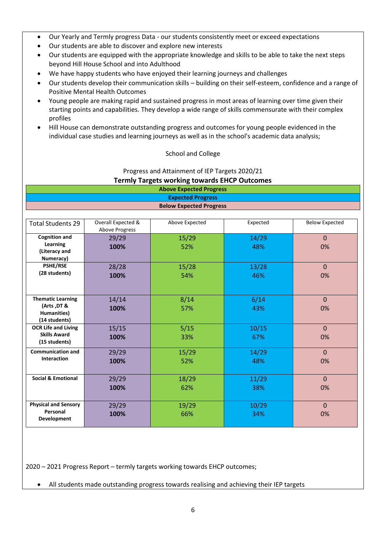- Our Yearly and Termly progress Data our students consistently meet or exceed expectations
- Our students are able to discover and explore new interests
- Our students are equipped with the appropriate knowledge and skills to be able to take the next steps beyond Hill House School and into Adulthood
- We have happy students who have enjoyed their learning journeys and challenges
- Our students develop their communication skills building on their self-esteem, confidence and a range of Positive Mental Health Outcomes
- Young people are making rapid and sustained progress in most areas of learning over time given their starting points and capabilities. They develop a wide range of skills commensurate with their complex profiles
- Hill House can demonstrate outstanding progress and outcomes for young people evidenced in the individual case studies and learning journeys as well as in the school's academic data analysis;

### School and College

Progress and Attainment of IEP Targets 2020/21

**Termly Targets working towards EHCP Outcomes**

| <b>Above Expected Progress</b> |                          |                                |          |                       |
|--------------------------------|--------------------------|--------------------------------|----------|-----------------------|
|                                | <b>Expected Progress</b> |                                |          |                       |
|                                |                          | <b>Below Expected Progress</b> |          |                       |
|                                |                          |                                |          |                       |
| <b>Total Students 29</b>       | Overall Expected &       | Above Expected                 | Expected | <b>Below Expected</b> |
|                                | <b>Above Progress</b>    |                                |          |                       |
| <b>Cognition and</b>           | 29/29                    | 15/29                          | 14/29    | $\Omega$              |
| Learning                       | 100%                     | 52%                            | 48%      | 0%                    |
| (Literacy and<br>Numeracy)     |                          |                                |          |                       |
| <b>PSHE/RSE</b>                | 28/28                    | 15/28                          | 13/28    | $\mathbf{0}$          |
| (28 students)                  |                          | 54%                            | 46%      | 0%                    |
|                                | 100%                     |                                |          |                       |
|                                |                          |                                |          |                       |
| <b>Thematic Learning</b>       | 14/14                    | 8/14                           | 6/14     | $\mathbf{0}$          |
| (Arts, DT &                    | 100%                     | 57%                            | 43%      | 0%                    |
| Humanities)                    |                          |                                |          |                       |
| (14 students)                  |                          |                                |          |                       |
| <b>OCR Life and Living</b>     | 15/15                    | 5/15                           | 10/15    | $\mathbf 0$           |
| <b>Skills Award</b>            | 100%                     | 33%                            | 67%      | 0%                    |
| (15 students)                  |                          |                                |          |                       |
| <b>Communication and</b>       | 29/29                    | 15/29                          | 14/29    | $\Omega$              |
| Interaction                    | 100%                     | 52%                            | 48%      | 0%                    |
|                                |                          |                                |          |                       |
| <b>Social &amp; Emotional</b>  | 29/29                    | 18/29                          | 11/29    | $\Omega$              |
|                                | 100%                     | 62%                            | 38%      | 0%                    |
|                                |                          |                                |          |                       |
| <b>Physical and Sensory</b>    | 29/29                    | 19/29                          | 10/29    | $\Omega$              |
| Personal                       | 100%                     | 66%                            | 34%      | 0%                    |
| <b>Development</b>             |                          |                                |          |                       |
|                                |                          |                                |          |                       |

2020 – 2021 Progress Report – termly targets working towards EHCP outcomes;

• All students made outstanding progress towards realising and achieving their IEP targets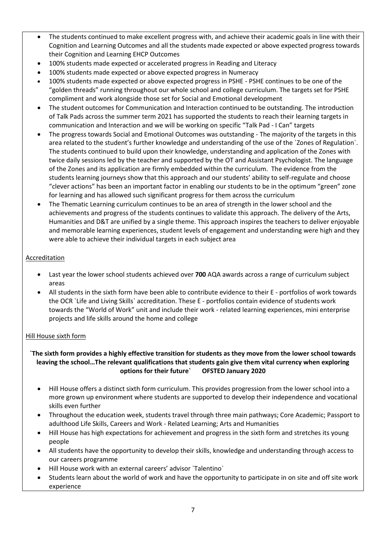- The students continued to make excellent progress with, and achieve their academic goals in line with their Cognition and Learning Outcomes and all the students made expected or above expected progress towards their Cognition and Learning EHCP Outcomes
- 100% students made expected or accelerated progress in Reading and Literacy
- 100% students made expected or above expected progress in Numeracy
- 100% students made expected or above expected progress in PSHE PSHE continues to be one of the "golden threads" running throughout our whole school and college curriculum. The targets set for PSHE compliment and work alongside those set for Social and Emotional development
- The student outcomes for Communication and Interaction continued to be outstanding. The introduction of Talk Pads across the summer term 2021 has supported the students to reach their learning targets in communication and Interaction and we will be working on specific "Talk Pad - I Can" targets
- The progress towards Social and Emotional Outcomes was outstanding The majority of the targets in this area related to the student's further knowledge and understanding of the use of the `Zones of Regulation`. The students continued to build upon their knowledge, understanding and application of the Zones with twice daily sessions led by the teacher and supported by the OT and Assistant Psychologist. The language of the Zones and its application are firmly embedded within the curriculum. The evidence from the students learning journeys show that this approach and our students' ability to self-regulate and choose "clever actions" has been an important factor in enabling our students to be in the optimum "green" zone for learning and has allowed such significant progress for them across the curriculum
- The Thematic Learning curriculum continues to be an area of strength in the lower school and the achievements and progress of the students continues to validate this approach. The delivery of the Arts, Humanities and D&T are unified by a single theme. This approach inspires the teachers to deliver enjoyable and memorable learning experiences, student levels of engagement and understanding were high and they were able to achieve their individual targets in each subject area

# Accreditation

- Last year the lower school students achieved over **700** AQA awards across a range of curriculum subject areas
- All students in the sixth form have been able to contribute evidence to their E portfolios of work towards the OCR `Life and Living Skills` accreditation. These E - portfolios contain evidence of students work towards the "World of Work" unit and include their work - related learning experiences, mini enterprise projects and life skills around the home and college

# Hill House sixth form

# **`The sixth form provides a highly effective transition for students as they move from the lower school towards leaving the school…The relevant qualifications that students gain give them vital currency when exploring options for their future` OFSTED January 2020**

- Hill House offers a distinct sixth form curriculum. This provides progression from the lower school into a more grown up environment where students are supported to develop their independence and vocational skills even further
- Throughout the education week, students travel through three main pathways; Core Academic; Passport to adulthood Life Skills, Careers and Work - Related Learning; Arts and Humanities
- Hill House has high expectations for achievement and progress in the sixth form and stretches its young people
- All students have the opportunity to develop their skills, knowledge and understanding through access to our careers programme
- Hill House work with an external careers' advisor `Talentino`
- Students learn about the world of work and have the opportunity to participate in on site and off site work experience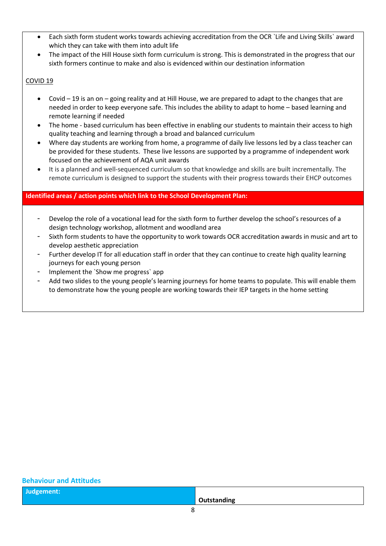- Each sixth form student works towards achieving accreditation from the OCR `Life and Living Skills` award which they can take with them into adult life
- The impact of the Hill House sixth form curriculum is strong. This is demonstrated in the progress that our sixth formers continue to make and also is evidenced within our destination information

# COVID 19

- Covid 19 is an on going reality and at Hill House, we are prepared to adapt to the changes that are needed in order to keep everyone safe. This includes the ability to adapt to home – based learning and remote learning if needed
- The home based curriculum has been effective in enabling our students to maintain their access to high quality teaching and learning through a broad and balanced curriculum
- Where day students are working from home, a programme of daily live lessons led by a class teacher can be provided for these students. These live lessons are supported by a programme of independent work focused on the achievement of AQA unit awards
- It is a planned and well-sequenced curriculum so that knowledge and skills are built incrementally. The remote curriculum is designed to support the students with their progress towards their EHCP outcomes

# **Identified areas / action points which link to the School Development Plan:**

- Develop the role of a vocational lead for the sixth form to further develop the school's resources of a design technology workshop, allotment and woodland area
- Sixth form students to have the opportunity to work towards OCR accreditation awards in music and art to develop aesthetic appreciation
- Further develop IT for all education staff in order that they can continue to create high quality learning journeys for each young person
- Implement the `Show me progress` app
- Add two slides to the young people's learning journeys for home teams to populate. This will enable them to demonstrate how the young people are working towards their IEP targets in the home setting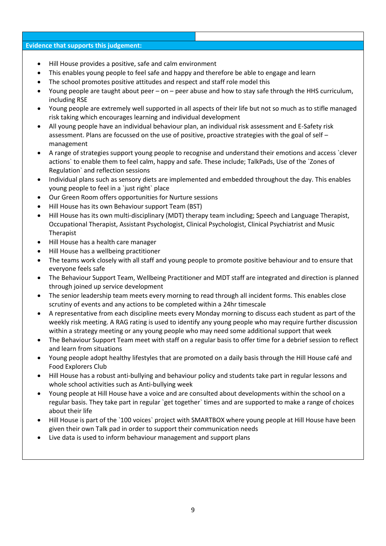#### **Evidence that supports this judgement:**

- Hill House provides a positive, safe and calm environment
- This enables young people to feel safe and happy and therefore be able to engage and learn
- The school promotes positive attitudes and respect and staff role model this
- Young people are taught about peer on peer abuse and how to stay safe through the HHS curriculum, including RSE
- Young people are extremely well supported in all aspects of their life but not so much as to stifle managed risk taking which encourages learning and individual development
- All young people have an individual behaviour plan, an individual risk assessment and E-Safety risk assessment. Plans are focussed on the use of positive, proactive strategies with the goal of self – management
- A range of strategies support young people to recognise and understand their emotions and access `clever actions` to enable them to feel calm, happy and safe. These include; TalkPads, Use of the `Zones of Regulation` and reflection sessions
- Individual plans such as sensory diets are implemented and embedded throughout the day. This enables young people to feel in a `just right` place
- Our Green Room offers opportunities for Nurture sessions
- Hill House has its own Behaviour support Team (BST)
- Hill House has its own multi-disciplinary (MDT) therapy team including; Speech and Language Therapist, Occupational Therapist, Assistant Psychologist, Clinical Psychologist, Clinical Psychiatrist and Music Therapist
- Hill House has a health care manager
- Hill House has a wellbeing practitioner
- The teams work closely with all staff and young people to promote positive behaviour and to ensure that everyone feels safe
- The Behaviour Support Team, Wellbeing Practitioner and MDT staff are integrated and direction is planned through joined up service development
- The senior leadership team meets every morning to read through all incident forms. This enables close scrutiny of events and any actions to be completed within a 24hr timescale
- A representative from each discipline meets every Monday morning to discuss each student as part of the weekly risk meeting. A RAG rating is used to identify any young people who may require further discussion within a strategy meeting or any young people who may need some additional support that week
- The Behaviour Support Team meet with staff on a regular basis to offer time for a debrief session to reflect and learn from situations
- Young people adopt healthy lifestyles that are promoted on a daily basis through the Hill House café and Food Explorers Club
- Hill House has a robust anti-bullying and behaviour policy and students take part in regular lessons and whole school activities such as Anti-bullying week
- Young people at Hill House have a voice and are consulted about developments within the school on a regular basis. They take part in regular `get together` times and are supported to make a range of choices about their life
- Hill House is part of the `100 voices` project with SMARTBOX where young people at Hill House have been given their own Talk pad in order to support their communication needs
- Live data is used to inform behaviour management and support plans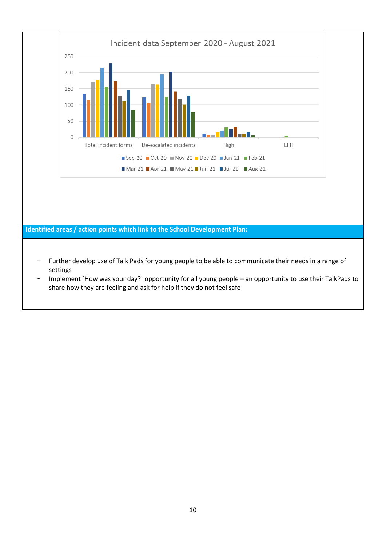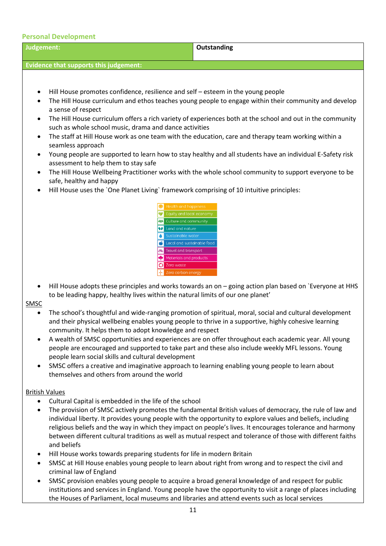| <b>Personal Development</b>                                                                                                                                                                                                                                                                                                                                       |                                                                                                                                                                                                                                                                                                                                                                                                                                                                                                                                                  |
|-------------------------------------------------------------------------------------------------------------------------------------------------------------------------------------------------------------------------------------------------------------------------------------------------------------------------------------------------------------------|--------------------------------------------------------------------------------------------------------------------------------------------------------------------------------------------------------------------------------------------------------------------------------------------------------------------------------------------------------------------------------------------------------------------------------------------------------------------------------------------------------------------------------------------------|
| Judgement:                                                                                                                                                                                                                                                                                                                                                        | Outstanding                                                                                                                                                                                                                                                                                                                                                                                                                                                                                                                                      |
| <b>Evidence that supports this judgement:</b>                                                                                                                                                                                                                                                                                                                     |                                                                                                                                                                                                                                                                                                                                                                                                                                                                                                                                                  |
|                                                                                                                                                                                                                                                                                                                                                                   |                                                                                                                                                                                                                                                                                                                                                                                                                                                                                                                                                  |
| Hill House promotes confidence, resilience and self – esteem in the young people<br>$\bullet$<br>a sense of respect<br>such as whole school music, drama and dance activities<br>seamless approach<br>assessment to help them to stay safe<br>safe, healthy and happy<br>Hill House uses the `One Planet Living` framework comprising of 10 intuitive principles: | The Hill House curriculum and ethos teaches young people to engage within their community and develop<br>The Hill House curriculum offers a rich variety of experiences both at the school and out in the community<br>The staff at Hill House work as one team with the education, care and therapy team working within a<br>Young people are supported to learn how to stay healthy and all students have an individual E-Safety risk<br>The Hill House Wellbeing Practitioner works with the whole school community to support everyone to be |
| ❤<br><b>OP</b> Land and nature<br>Zero waste<br>O                                                                                                                                                                                                                                                                                                                 | Equity and local economy<br><b>233</b> Culture and community<br>Sustainable water<br>Local and sustainable food<br>Travel and transport<br>Materials and products<br>Zero carbon energy<br>Hill House adopts these principles and works towards an on - going action plan based on `Everyone at HHS                                                                                                                                                                                                                                              |
| to be leading happy, healthy lives within the natural limits of our one planet'<br><b>SMSC</b>                                                                                                                                                                                                                                                                    |                                                                                                                                                                                                                                                                                                                                                                                                                                                                                                                                                  |
| community. It helps them to adopt knowledge and respect<br>٠<br>people learn social skills and cultural development<br>themselves and others from around the world                                                                                                                                                                                                | The school's thoughtful and wide-ranging promotion of spiritual, moral, social and cultural development<br>and their physical wellbeing enables young people to thrive in a supportive, highly cohesive learning<br>A wealth of SMSC opportunities and experiences are on offer throughout each academic year. All young<br>people are encouraged and supported to take part and these also include weekly MFL lessons. Young<br>SMSC offers a creative and imaginative approach to learning enabling young people to learn about                |
| <b>British Values</b>                                                                                                                                                                                                                                                                                                                                             |                                                                                                                                                                                                                                                                                                                                                                                                                                                                                                                                                  |
| Cultural Capital is embedded in the life of the school<br>٠<br>٠<br>and beliefs                                                                                                                                                                                                                                                                                   | The provision of SMSC actively promotes the fundamental British values of democracy, the rule of law and<br>individual liberty. It provides young people with the opportunity to explore values and beliefs, including<br>religious beliefs and the way in which they impact on people's lives. It encourages tolerance and harmony<br>between different cultural traditions as well as mutual respect and tolerance of those with different faiths                                                                                              |
| Hill House works towards preparing students for life in modern Britain<br>٠<br>criminal law of England                                                                                                                                                                                                                                                            | SMSC at Hill House enables young people to learn about right from wrong and to respect the civil and                                                                                                                                                                                                                                                                                                                                                                                                                                             |
|                                                                                                                                                                                                                                                                                                                                                                   | SMSC provision enables young people to acquire a broad general knowledge of and respect for public<br>institutions and services in England. Young people have the opportunity to visit a range of places including                                                                                                                                                                                                                                                                                                                               |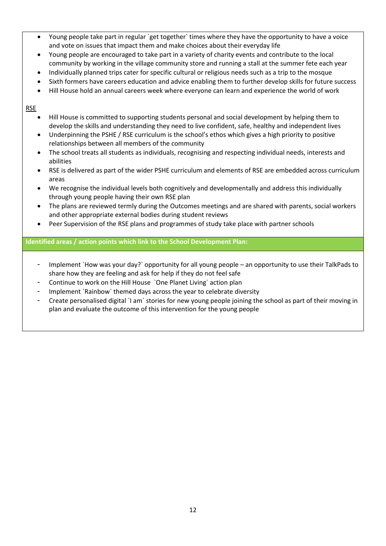- Young people take part in regular `get together` times where they have the opportunity to have a voice and vote on issues that impact them and make choices about their everyday life
- Young people are encouraged to take part in a variety of charity events and contribute to the local community by working in the village community store and running a stall at the summer fete each year
- Individually planned trips cater for specific cultural or religious needs such as a trip to the mosque
- Sixth formers have careers education and advice enabling them to further develop skills for future success
- Hill House hold an annual careers week where everyone can learn and experience the world of work

RSE

- Hill House is committed to supporting students personal and social development by helping them to develop the skills and understanding they need to live confident, safe, healthy and independent lives
- Underpinning the PSHE / RSE curriculum is the school's ethos which gives a high priority to positive relationships between all members of the community
- The school treats all students as individuals, recognising and respecting individual needs, interests and abilities
- RSE is delivered as part of the wider PSHE curriculum and elements of RSE are embedded across curriculum areas
- We recognise the individual levels both cognitively and developmentally and address this individually through young people having their own RSE plan
- The plans are reviewed termly during the Outcomes meetings and are shared with parents, social workers and other appropriate external bodies during student reviews
- Peer Supervision of the RSE plans and programmes of study take place with partner schools

**Identified areas / action points which link to the School Development Plan:**

- Implement `How was your day?` opportunity for all young people an opportunity to use their TalkPads to share how they are feeling and ask for help if they do not feel safe
- Continue to work on the Hill House `One Planet Living` action plan
- Implement `Rainbow` themed days across the year to celebrate diversity
- Create personalised digital `I am` stories for new young people joining the school as part of their moving in plan and evaluate the outcome of this intervention for the young people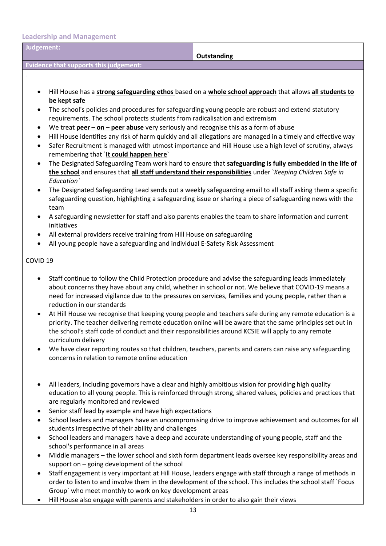**Leadership and Management**

| Judgement:                                                                                                                                          | Outstanding                                                                                                                                                                                                                          |  |  |
|-----------------------------------------------------------------------------------------------------------------------------------------------------|--------------------------------------------------------------------------------------------------------------------------------------------------------------------------------------------------------------------------------------|--|--|
| <b>Evidence that supports this judgement:</b>                                                                                                       |                                                                                                                                                                                                                                      |  |  |
|                                                                                                                                                     |                                                                                                                                                                                                                                      |  |  |
|                                                                                                                                                     |                                                                                                                                                                                                                                      |  |  |
|                                                                                                                                                     | Hill House has a strong safeguarding ethos based on a whole school approach that allows all students to                                                                                                                              |  |  |
| be kept safe                                                                                                                                        |                                                                                                                                                                                                                                      |  |  |
|                                                                                                                                                     | The school's policies and procedures for safeguarding young people are robust and extend statutory                                                                                                                                   |  |  |
| requirements. The school protects students from radicalisation and extremism                                                                        |                                                                                                                                                                                                                                      |  |  |
| We treat $peer-on-peer$ abuse very seriously and recognise this as a form of abuse<br>$\bullet$                                                     |                                                                                                                                                                                                                                      |  |  |
| ٠                                                                                                                                                   | Hill House identifies any risk of harm quickly and all allegations are managed in a timely and effective way<br>$\bullet$<br>Safer Recruitment is managed with utmost importance and Hill House use a high level of scrutiny, always |  |  |
| remembering that 'It could happen here'                                                                                                             |                                                                                                                                                                                                                                      |  |  |
|                                                                                                                                                     | The Designated Safeguarding Team work hard to ensure that safeguarding is fully embedded in the life of                                                                                                                              |  |  |
|                                                                                                                                                     | the school and ensures that all staff understand their responsibilities under `Keeping Children Safe in                                                                                                                              |  |  |
| Education`                                                                                                                                          |                                                                                                                                                                                                                                      |  |  |
| ٠                                                                                                                                                   | The Designated Safeguarding Lead sends out a weekly safeguarding email to all staff asking them a specific                                                                                                                           |  |  |
|                                                                                                                                                     | safeguarding question, highlighting a safeguarding issue or sharing a piece of safeguarding news with the                                                                                                                            |  |  |
| team                                                                                                                                                |                                                                                                                                                                                                                                      |  |  |
| initiatives                                                                                                                                         | A safeguarding newsletter for staff and also parents enables the team to share information and current                                                                                                                               |  |  |
| All external providers receive training from Hill House on safeguarding                                                                             |                                                                                                                                                                                                                                      |  |  |
| All young people have a safeguarding and individual E-Safety Risk Assessment                                                                        |                                                                                                                                                                                                                                      |  |  |
|                                                                                                                                                     |                                                                                                                                                                                                                                      |  |  |
| COVID <sub>19</sub>                                                                                                                                 |                                                                                                                                                                                                                                      |  |  |
|                                                                                                                                                     |                                                                                                                                                                                                                                      |  |  |
| ٠                                                                                                                                                   | Staff continue to follow the Child Protection procedure and advise the safeguarding leads immediately                                                                                                                                |  |  |
|                                                                                                                                                     | about concerns they have about any child, whether in school or not. We believe that COVID-19 means a<br>need for increased vigilance due to the pressures on services, families and young people, rather than a                      |  |  |
| reduction in our standards                                                                                                                          |                                                                                                                                                                                                                                      |  |  |
| ٠                                                                                                                                                   | At Hill House we recognise that keeping young people and teachers safe during any remote education is a                                                                                                                              |  |  |
|                                                                                                                                                     | priority. The teacher delivering remote education online will be aware that the same principles set out in                                                                                                                           |  |  |
| the school's staff code of conduct and their responsibilities around KCSIE will apply to any remote                                                 |                                                                                                                                                                                                                                      |  |  |
| curriculum delivery                                                                                                                                 |                                                                                                                                                                                                                                      |  |  |
| ٠                                                                                                                                                   | We have clear reporting routes so that children, teachers, parents and carers can raise any safeguarding                                                                                                                             |  |  |
| concerns in relation to remote online education                                                                                                     |                                                                                                                                                                                                                                      |  |  |
|                                                                                                                                                     |                                                                                                                                                                                                                                      |  |  |
| All leaders, including governors have a clear and highly ambitious vision for providing high quality                                                |                                                                                                                                                                                                                                      |  |  |
|                                                                                                                                                     | education to all young people. This is reinforced through strong, shared values, policies and practices that                                                                                                                         |  |  |
| are regularly monitored and reviewed                                                                                                                |                                                                                                                                                                                                                                      |  |  |
| Senior staff lead by example and have high expectations                                                                                             |                                                                                                                                                                                                                                      |  |  |
| School leaders and managers have an uncompromising drive to improve achievement and outcomes for all<br>٠                                           |                                                                                                                                                                                                                                      |  |  |
| students irrespective of their ability and challenges                                                                                               |                                                                                                                                                                                                                                      |  |  |
| School leaders and managers have a deep and accurate understanding of young people, staff and the<br>$\bullet$<br>school's performance in all areas |                                                                                                                                                                                                                                      |  |  |
|                                                                                                                                                     |                                                                                                                                                                                                                                      |  |  |
| support on - going development of the school                                                                                                        | Middle managers - the lower school and sixth form department leads oversee key responsibility areas and                                                                                                                              |  |  |
|                                                                                                                                                     | Staff engagement is very important at Hill House, leaders engage with staff through a range of methods in                                                                                                                            |  |  |
|                                                                                                                                                     | der to listen to and involve them in the development of the school. This includes the school staff `Eqque                                                                                                                            |  |  |

- order to listen to and involve them in the development of the school. This includes the school staff `Focus Group` who meet monthly to work on key development areas
- Hill House also engage with parents and stakeholders in order to also gain their views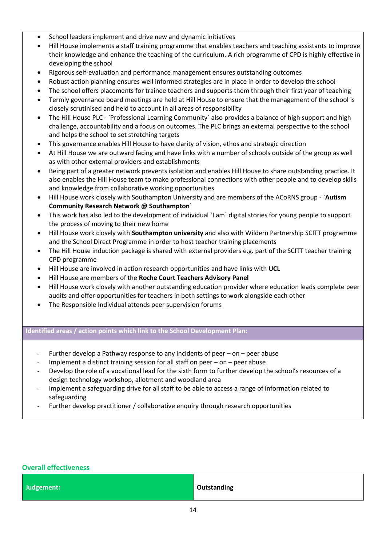- School leaders implement and drive new and dynamic initiatives
- Hill House implements a staff training programme that enables teachers and teaching assistants to improve their knowledge and enhance the teaching of the curriculum. A rich programme of CPD is highly effective in developing the school
- Rigorous self-evaluation and performance management ensures outstanding outcomes
- Robust action planning ensures well informed strategies are in place in order to develop the school
- The school offers placements for trainee teachers and supports them through their first year of teaching
- Termly governance board meetings are held at Hill House to ensure that the management of the school is closely scrutinised and held to account in all areas of responsibility
- The Hill House PLC `Professional Learning Community` also provides a balance of high support and high challenge, accountability and a focus on outcomes. The PLC brings an external perspective to the school and helps the school to set stretching targets
- This governance enables Hill House to have clarity of vision, ethos and strategic direction
- At Hill House we are outward facing and have links with a number of schools outside of the group as well as with other external providers and establishments
- Being part of a greater network prevents isolation and enables Hill House to share outstanding practice. It also enables the Hill House team to make professional connections with other people and to develop skills and knowledge from collaborative working opportunities
- Hill House work closely with Southampton University and are members of the ACoRNS group `**Autism Community Research Network @ Southampton**`
- This work has also led to the development of individual `I am` digital stories for young people to support the process of moving to their new home
- Hill House work closely with **Southampton university** and also with Wildern Partnership SCITT programme and the School Direct Programme in order to host teacher training placements
- The Hill House induction package is shared with external providers e.g. part of the SCITT teacher training CPD programme
- Hill House are involved in action research opportunities and have links with **UCL**
- Hill House are members of the **Roche Court Teachers Advisory Panel**
- Hill House work closely with another outstanding education provider where education leads complete peer audits and offer opportunities for teachers in both settings to work alongside each other
- The Responsible Individual attends peer supervision forums

# **Identified areas / action points which link to the School Development Plan:**

- Further develop a Pathway response to any incidents of peer on peer abuse
- Implement a distinct training session for all staff on peer on peer abuse
- Develop the role of a vocational lead for the sixth form to further develop the school's resources of a design technology workshop, allotment and woodland area
- Implement a safeguarding drive for all staff to be able to access a range of information related to safeguarding
- Further develop practitioner / collaborative enquiry through research opportunities

| <b>Overall effectiveness</b> |                    |  |
|------------------------------|--------------------|--|
| Judgement:                   | <b>Outstanding</b> |  |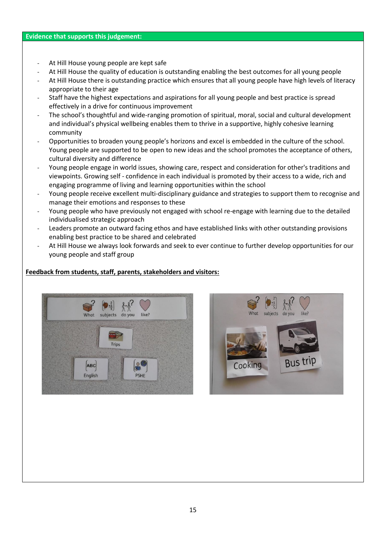#### **Evidence that supports this judgement:**

- At Hill House young people are kept safe
- At Hill House the quality of education is outstanding enabling the best outcomes for all young people
- At Hill House there is outstanding practice which ensures that all young people have high levels of literacy appropriate to their age
- Staff have the highest expectations and aspirations for all young people and best practice is spread effectively in a drive for continuous improvement
- The school's thoughtful and wide-ranging promotion of spiritual, moral, social and cultural development and individual's physical wellbeing enables them to thrive in a supportive, highly cohesive learning community
- Opportunities to broaden young people's horizons and excel is embedded in the culture of the school. Young people are supported to be open to new ideas and the school promotes the acceptance of others, cultural diversity and difference
- Young people engage in world issues, showing care, respect and consideration for other's traditions and viewpoints. Growing self - confidence in each individual is promoted by their access to a wide, rich and engaging programme of living and learning opportunities within the school
- Young people receive excellent multi-disciplinary guidance and strategies to support them to recognise and manage their emotions and responses to these
- Young people who have previously not engaged with school re-engage with learning due to the detailed individualised strategic approach
- Leaders promote an outward facing ethos and have established links with other outstanding provisions enabling best practice to be shared and celebrated
- At Hill House we always look forwards and seek to ever continue to further develop opportunities for our young people and staff group

# **Feedback from students, staff, parents, stakeholders and visitors:**



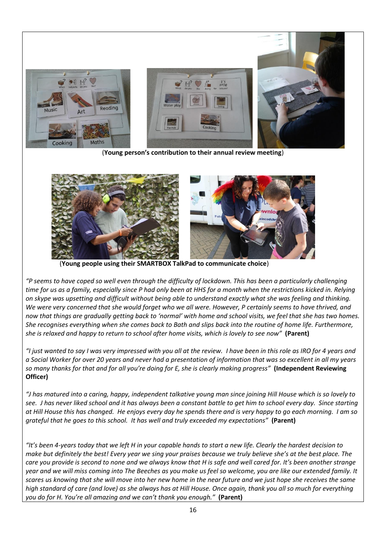

(**Young person's contribution to their annual review meeting**)



(**Young people using their SMARTBOX TalkPad to communicate choice**)

*"P seems to have coped so well even through the difficulty of lockdown. This has been a particularly challenging time for us as a family, especially since P had only been at HHS for a month when the restrictions kicked in. Relying on skype was upsetting and difficult without being able to understand exactly what she was feeling and thinking. We were very concerned that she would forget who we all were. However, P certainly seems to have thrived, and now that things are gradually getting back to 'normal' with home and school visits, we feel that she has two homes. She recognises everything when she comes back to Bath and slips back into the routine of home life. Furthermore, she is relaxed and happy to return to school after home visits, which is lovely to see now"* **(Parent)**

*"I just wanted to say I was very impressed with you all at the review. I have been in this role as IRO for 4 years and a Social Worker for over 20 years and never had a presentation of information that was so excellent in all my years so many thanks for that and for all you're doing for E, she is clearly making progress"* **(Independent Reviewing Officer)**

*"J has matured into a caring, happy, independent talkative young man since joining Hill House which is so lovely to see. J has never liked school and it has always been a constant battle to get him to school every day. Since starting at Hill House this has changed. He enjoys every day he spends there and is very happy to go each morning. I am so grateful that he goes to this school. It has well and truly exceeded my expectations"* **(Parent)**

*"It's been 4-years today that we left H in your capable hands to start a new life. Clearly the hardest decision to make but definitely the best! Every year we sing your praises because we truly believe she's at the best place. The care you provide is second to none and we always know that H is safe and well cared for. It's been another strange year and we will miss coming into The Beeches as you make us feel so welcome, you are like our extended family. It scares us knowing that she will move into her new home in the near future and we just hope she receives the same high standard of care (and love) as she always has at Hill House. Once again, thank you all so much for everything you do for H. You're all amazing and we can't thank you enough."* **(Parent)**